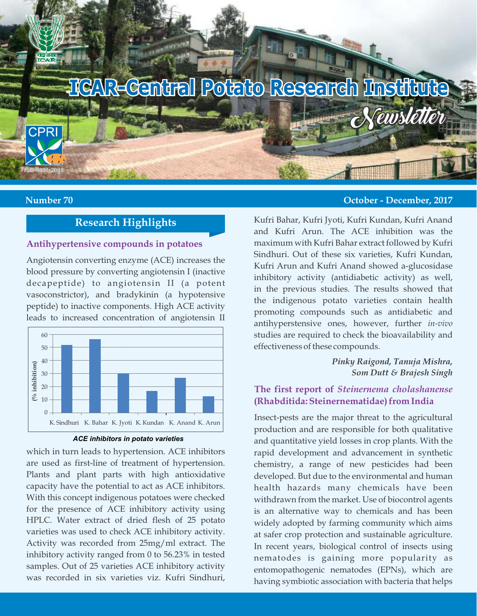

## **Research Highlights**

#### **Antihypertensive compounds in potatoes**

Angiotensin converting enzyme (ACE) increases the blood pressure by converting angiotensin I (inactive decapeptide) to angiotensin II (a potent vasoconstrictor), and bradykinin (a hypotensive peptide) to inactive components. High ACE activity leads to increased concentration of angiotensin II



*ACE inhibitors in potato varieties*

which in turn leads to hypertension. ACE inhibitors are used as first-line of treatment of hypertension. Plants and plant parts with high antioxidative capacity have the potential to act as ACE inhibitors. With this concept indigenous potatoes were checked for the presence of ACE inhibitory activity using HPLC. Water extract of dried flesh of 25 potato varieties was used to check ACE inhibitory activity. Activity was recorded from 25mg/ml extract. The inhibitory activity ranged from 0 to 56.23% in tested samples. Out of 25 varieties ACE inhibitory activity was recorded in six varieties viz. Kufri Sindhuri,

#### **Number 70 October - December, 2017**

Kufri Bahar, Kufri Jyoti, Kufri Kundan, Kufri Anand and Kufri Arun. The ACE inhibition was the maximum with Kufri Bahar extract followed by Kufri Sindhuri. Out of these six varieties, Kufri Kundan, Kufri Arun and Kufri Anand showed a-glucosidase inhibitory activity (antidiabetic activity) as well, in the previous studies. The results showed that the indigenous potato varieties contain health promoting compounds such as antidiabetic and antihyperstensive ones, however, further *in-vivo* studies are required to check the bioavailability and effectiveness of these compounds.

> *Pinky Raigond, Tanuja Mishra, Som Dutt & Brajesh Singh*

#### **The first report of** *Steinernema cholashanense*  **(Rhabditida: Steinernematidae) from India**

Insect-pests are the major threat to the agricultural production and are responsible for both qualitative and quantitative yield losses in crop plants. With the rapid development and advancement in synthetic chemistry, a range of new pesticides had been developed. But due to the environmental and human health hazards many chemicals have been withdrawn from the market. Use of biocontrol agents is an alternative way to chemicals and has been widely adopted by farming community which aims at safer crop protection and sustainable agriculture. In recent years, biological control of insects using nematodes is gaining more popularity as entomopathogenic nematodes (EPNs), which are having symbiotic association with bacteria that helps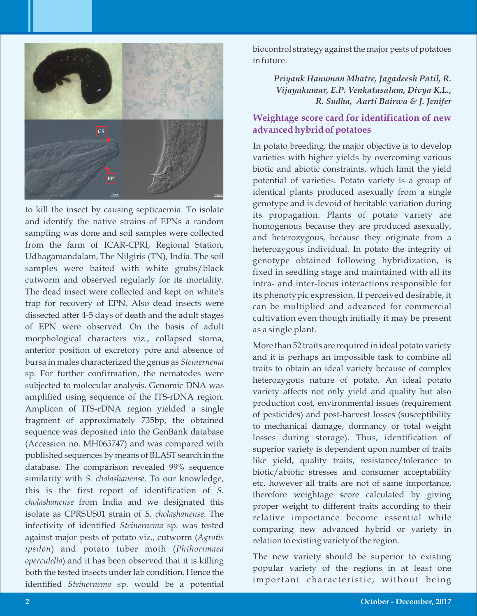

to kill the insect by causing septicaemia. To isolate and identify the native strains of EPNs a random sampling was done and soil samples were collected from the farm of ICAR-CPRI, Regional Station, Udhagamandalam, The Nilgiris (TN), India. The soil samples were baited with white grubs/black cutworm and observed regularly for its mortality. The dead insect were collected and kept on white's trap for recovery of EPN. Also dead insects were dissected after 4-5 days of death and the adult stages of EPN were observed. On the basis of adult morphological characters viz., collapsed stoma, anterior position of excretory pore and absence of bursa in males characterized the genus as *Steinernema* sp. For further confirmation, the nematodes were subjected to molecular analysis. Genomic DNA was amplified using sequence of the ITS-rDNA region. Amplicon of ITS-rDNA region yielded a single fragment of approximately 735bp, the obtained sequence was deposited into the GenBank database (Accession no. MH065747) and was compared with published sequences by means of BLAST search in the database. The comparison revealed 99% sequence similarity with *S. cholashanense*. To our knowledge, this is the first report of identification of *S. cholashanense* from India and we designated this isolate as CPRSUS01 strain of *S. cholashanense*. The infectivity of identified *Steinernema* sp. was tested against major pests of potato viz., cutworm (*Agrotis ipsilon*) and potato tuber moth (*Phthorimaea operculella*) and it has been observed that it is killing both the tested insects under lab condition. Hence the identified *Steinernema* sp. would be a potential

biocontrol strategy against the major pests of potatoes in future.

> *Priyank Hanuman Mhatre, Jagadeesh Patil, R. Vijayakumar, E.P. Venkatasalam, Divya K.L., R. Sudha, Aarti Bairwa & J. Jenifer*

## **Weightage score card for identification of new advanced hybrid of potatoes**

In potato breeding, the major objective is to develop varieties with higher yields by overcoming various biotic and abiotic constraints, which limit the yield potential of varieties. Potato variety is a group of identical plants produced asexually from a single genotype and is devoid of heritable variation during its propagation. Plants of potato variety are homogenous because they are produced asexually, and heterozygous, because they originate from a heterozygous individual. In potato the integrity of genotype obtained following hybridization, is fixed in seedling stage and maintained with all its intra- and inter-locus interactions responsible for its phenotypic expression. If perceived desirable, it can be multiplied and advanced for commercial cultivation even though initially it may be present as a single plant.

More than 52 traits are required in ideal potato variety and it is perhaps an impossible task to combine all traits to obtain an ideal variety because of complex heterozygous nature of potato. An ideal potato variety affects not only yield and quality but also production cost, environmental issues (requirement of pesticides) and post-harvest losses (susceptibility to mechanical damage, dormancy or total weight losses during storage). Thus, identification of superior variety is dependent upon number of traits like yield, quality traits, resistance/tolerance to biotic/abiotic stresses and consumer acceptability etc. however all traits are not of same importance, therefore weightage score calculated by giving proper weight to different traits according to their relative importance become essential while comparing new advanced hybrid or variety in relation to existing variety of the region.

The new variety should be superior to existing popular variety of the regions in at least one important characteristic, without being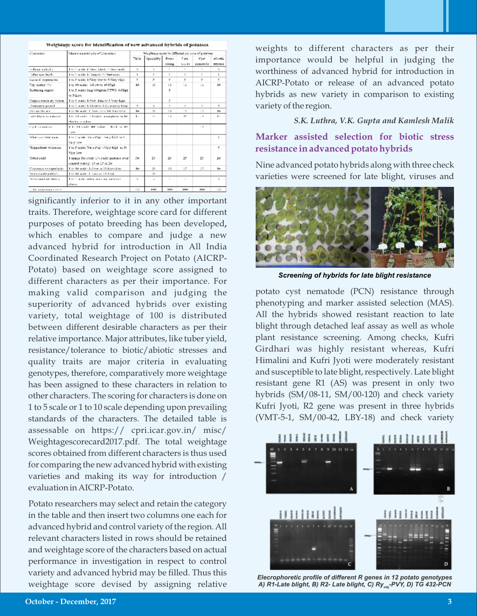| Симмента                | Massacraments asks of diseases as                                            | Weightage score to different purpose of poteness. |                         |                |                             |          |                 |
|-------------------------|------------------------------------------------------------------------------|---------------------------------------------------|-------------------------|----------------|-----------------------------|----------|-----------------|
|                         |                                                                              | TV:k.                                             | Speciality:             | Proce-         | Date:                       | Car.     | Abiedo          |
|                         |                                                                              |                                                   |                         | curing         | birth.                      | services | <b>STERNS</b>   |
| Edison av tariho        | Like 2 saturbs, J. Venschafte für 2. Venschwalte.                            | ۰,                                                | $\mathbf{r}_\mathbf{r}$ | ٠.             | $\mathcal{H}_{\mathcal{M}}$ | $\sim$   | $\tau_{\rm e}$  |
| idea ese deuti-         | 1 to 5 scales 1-Deep to 5-Fleet esses.                                       | ×.                                                | S.                      | ×.             | ÷.                          | ÷        | s.              |
| General impression.     | 1 to 5 scale: 1-Very low to 5-Very high                                      | ×,                                                | s.                      | s,             | s.                          | ×        | s               |
| Environment (No)        | I to 10 toole: 1-Low to 10 High.                                             | 10                                                | 10                      | 10             | 18                          | 14       | 16              |
| Roduing means           | 1 to 5 scale: (mg/100gram FTW): 0-3Bgb.<br>to \$4.000                        |                                                   |                         | s              |                             |          |                 |
| Canya Treads By colour. | I to 3 water 1-Very durk to 5 Very high.                                     |                                                   |                         | J.             |                             |          |                 |
| Dominary period.        | 1 to 3 senter 1-Short to 3-Extremely leng-                                   | $\mathbf{v}$                                      | s,                      | ×,             | ×                           | ×.       | ٠               |
| <b>Stations became</b>  | I to 10 author L. Very more let. Incontinual                                 | $\cdots$                                          | ID.                     | 1/3            | 18                          | 1/2      | 111             |
| taile block treasfaces. | I to 14 south 1 Misdaly susceptible to 10.                                   | $\mathbf{F}$                                      | L's                     | 1.30           | 20.                         | L.N.     | The Corporation |
|                         | Highly reading                                                               |                                                   |                         |                |                             |          |                 |
| Sized presentation      | I to 10 south RF value. I Field to 10.<br>Lane                               |                                                   |                         |                |                             | 19       |                 |
| Mile kan tolerance.     | 1 to 5 scale: Runa Ca) 1-5-era birdi to 5-<br>Vary Loss                      |                                                   |                         |                |                             |          | ×.              |
| Hopperburn tolerance.   | 1 to 5 to the Dama (5th) 1-Very black to 5-<br>Very low.                     |                                                   |                         |                |                             |          | ×,              |
| Taber yield             | I made for every 100 yield mercure over-<br>control variety. 10 or 15 or 20. | 30.                                               | 20                      | 20             | 25                          | 20       | 20              |
| Consumer receptablish-  | I to 10 water 1. June to 10-Panellon.                                        | 1u                                                | 10                      | 1/3            | 10                          | 15       | 10 <sub>1</sub> |
| National continues      | I to 10 water Library to 10. Book                                            |                                                   | 15 <sub>2</sub>         |                |                             |          |                 |
| Additional diffusions.  | I to be a related by the change and analysis of                              | ×                                                 | $\cdot$                 | $\tau_{\rm R}$ | $\mathcal{H}_\mathrm{R}$    |          | ٠               |
|                         | allowed.                                                                     |                                                   |                         |                |                             |          |                 |
| als were regarded       |                                                                              |                                                   | $1 + 3 + 1$             | 1144           | 1141                        | 1141     | 1.32            |

Weightage score for identification of new advanced hybrids of potatoes

significantly inferior to it in any other important traits. Therefore, weightage score card for different purposes of potato breeding has been developed**,** which enables to compare and judge a new advanced hybrid for introduction in All India Coordinated Research Project on Potato (AICRP-Potato) based on weightage score assigned to different characters as per their importance. For making valid comparison and judging the superiority of advanced hybrids over existing variety, total weightage of 100 is distributed between different desirable characters as per their relative importance. Major attributes, like tuber yield, resistance/tolerance to biotic/abiotic stresses and quality traits are major criteria in evaluating genotypes, therefore, comparatively more weightage has been assigned to these characters in relation to other characters. The scoring for characters is done on 1 to 5 scale or 1 to 10 scale depending upon prevailing standards of the characters. The detailed table is assessable on https:// cpri.icar.gov.in/ misc/ Weightagescorecard2017.pdf. The total weightage scores obtained from different characters is thus used for comparing the new advanced hybrid with existing varieties and making its way for introduction / evaluation in AICRP-Potato.

Potato researchers may select and retain the category in the table and then insert two columns one each for advanced hybrid and control variety of the region. All relevant characters listed in rows should be retained and weightage score of the characters based on actual performance in investigation in respect to control variety and advanced hybrid may be filled. Thus this weightage score devised by assigning relative

weights to different characters as per their importance would be helpful in judging the worthiness of advanced hybrid for introduction in AICRP-Potato or release of an advanced potato hybrids as new variety in comparison to existing variety of the region.

#### *S.K. Luthra, V.K. Gupta and Kamlesh Malik*

**Marker assisted selection for biotic stress resistance in advanced potato hybrids**

Nine advanced potato hybrids along with three check varieties were screened for late blight, viruses and



*Screening of hybrids for late blight resistance*

potato cyst nematode (PCN) resistance through phenotyping and marker assisted selection (MAS). All the hybrids showed resistant reaction to late blight through detached leaf assay as well as whole plant resistance screening. Among checks, Kufri Girdhari was highly resistant whereas, Kufri Himalini and Kufri Jyoti were moderately resistant and susceptible to late blight, respectively. Late blight resistant gene R1 (AS) was present in only two hybrids (SM/08-11, SM/00-120) and check variety Kufri Jyoti, R2 gene was present in three hybrids (VMT-5-1, SM/00-42, LBY-18) and check variety



*Elecrophoretic profile of different R genes in 12 potato genotypes A) R1-Late blight, B) R2- Late blight, C) Ryadg-PVY, D) TG 432-PCN*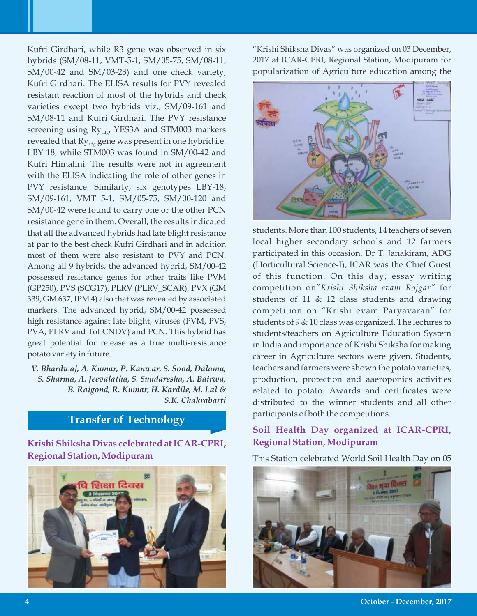Kufri Girdhari, while R3 gene was observed in six hybrids (SM/08-11, VMT-5-1, SM/05-75, SM/08-11, SM/00-42 and SM/03-23) and one check variety, Kufri Girdhari. The ELISA results for PVY revealed resistant reaction of most of the hybrids and check varieties except two hybrids viz., SM/09-161 and SM/08-11 and Kufri Girdhari. The PVY resistance screening using  $Ry_{\text{ad}g}$ , YES3A and STM003 markers revealed that  $Ry_{\text{ad}g}$  gene was present in one hybrid i.e. LBY 18, while STM003 was found in SM/00-42 and Kufri Himalini. The results were not in agreement with the ELISA indicating the role of other genes in PVY resistance. Similarly, six genotypes LBY-18, SM/09-161, VMT 5-1, SM/05-75, SM/00-120 and SM/00-42 were found to carry one or the other PCN resistance gene in them. Overall, the results indicated that all the advanced hybrids had late blight resistance at par to the best check Kufri Girdhari and in addition most of them were also resistant to PVY and PCN. Among all 9 hybrids, the advanced hybrid, SM/00-42 possessed resistance genes for other traits like PVM (GP250), PVS (SCG17), PLRV (PLRV\_SCAR), PVX (GM 339, GM 637, IPM 4) also that was revealed by associated markers. The advanced hybrid, SM/00-42 possessed high resistance against late blight, viruses (PVM, PVS, PVA, PLRV and ToLCNDV) and PCN. This hybrid has great potential for release as a true multi-resistance potato variety in future.

*V. Bhardwaj, A. Kumar, P. Kanwar, S. Sood, Dalamu, S. Sharma, A. Jeevalatha, S. Sundaresha, A. Bairwa, B. Raigond, R. Kumar, H. Kardile, M. Lal & S.K. Chakrabarti*

## **Transfer of Technology**

**Krishi Shiksha Divas celebrated at ICAR-CPRI, Regional Station, Modipuram**



"Krishi Shiksha Divas" was organized on 03 December, 2017 at ICAR-CPRI, Regional Station, Modipuram for popularization of Agriculture education among the



students. More than 100 students, 14 teachers of seven local higher secondary schools and 12 farmers participated in this occasion. Dr T. Janakiram, ADG (Horticultural Science-I), ICAR was the Chief Guest of this function. On this day, essay writing competition on"*Krishi Shiksha evam Rojgar"* for students of 11 & 12 class students and drawing competition on "Krishi evam Paryavaran" for students of 9 & 10 class was organized. The lectures to students/teachers on Agriculture Education System in India and importance of Krishi Shiksha for making career in Agriculture sectors were given. Students, teachers and farmers were shown the potato varieties, production, protection and aaeroponics activities related to potato. Awards and certificates were distributed to the winner students and all other participants of both the competitions.

## **Soil Health Day organized at ICAR-CPRI, Regional Station, Modipuram**

This Station celebrated World Soil Health Day on 05



**October - December, 2017**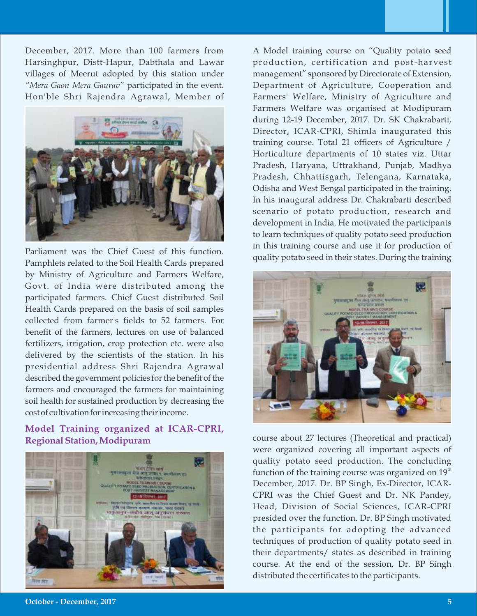December, 2017. More than 100 farmers from Harsinghpur, Distt-Hapur, Dabthala and Lawar villages of Meerut adopted by this station under *"Mera Gaon Mera Gaurav"* participated in the event. Hon'ble Shri Rajendra Agrawal, Member of



Parliament was the Chief Guest of this function. Pamphlets related to the Soil Health Cards prepared by Ministry of Agriculture and Farmers Welfare, Govt. of India were distributed among the participated farmers. Chief Guest distributed Soil Health Cards prepared on the basis of soil samples collected from farmer's fields to 52 farmers. For benefit of the farmers, lectures on use of balanced fertilizers, irrigation, crop protection etc. were also delivered by the scientists of the station. In his presidential address Shri Rajendra Agrawal described the government policies for the benefit of the farmers and encouraged the farmers for maintaining soil health for sustained production by decreasing the cost of cultivation for increasing their income.

## **Model Training organized at ICAR-CPRI, Regional Station, Modipuram**



A Model training course on "Quality potato seed production, certification and post-harvest management" sponsored by Directorate of Extension, Department of Agriculture, Cooperation and Farmers' Welfare, Ministry of Agriculture and Farmers Welfare was organised at Modipuram during 12-19 December, 2017. Dr. SK Chakrabarti, Director, ICAR-CPRI, Shimla inaugurated this training course. Total 21 officers of Agriculture / Horticulture departments of 10 states viz. Uttar Pradesh, Haryana, Uttrakhand, Punjab, Madhya Pradesh, Chhattisgarh, Telengana, Karnataka, Odisha and West Bengal participated in the training. In his inaugural address Dr. Chakrabarti described scenario of potato production, research and development in India. He motivated the participants to learn techniques of quality potato seed production in this training course and use it for production of quality potato seed in their states. During the training



course about 27 lectures (Theoretical and practical) were organized covering all important aspects of quality potato seed production. The concluding function of the training course was organized on  $19<sup>th</sup>$ December, 2017. Dr. BP Singh, Ex-Director, ICAR-CPRI was the Chief Guest and Dr. NK Pandey, Head, Division of Social Sciences, ICAR-CPRI presided over the function. Dr. BP Singh motivated the participants for adopting the advanced techniques of production of quality potato seed in their departments/ states as described in training course. At the end of the session, Dr. BP Singh distributed the certificates to the participants.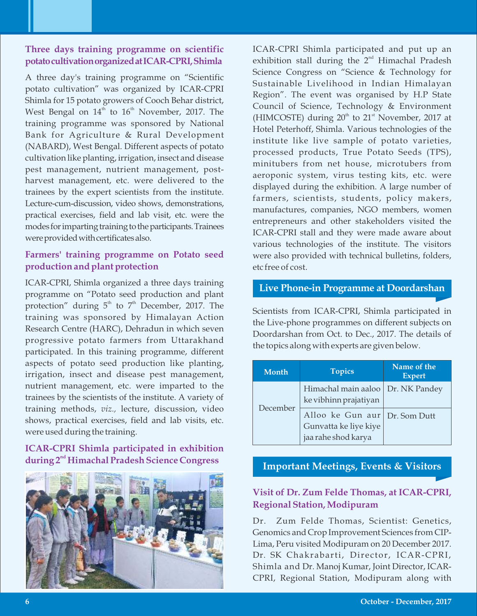## **Three days training programme on scientific potatocultivationorganizedatICAR-CPRI,Shimla**

A three day's training programme on "Scientific potato cultivation" was organized by ICAR-CPRI Shimla for 15 potato growers of Cooch Behar district, West Bengal on  $14<sup>th</sup>$  to  $16<sup>th</sup>$  November, 2017. The training programme was sponsored by National Bank for Agriculture & Rural Development (NABARD), West Bengal. Different aspects of potato cultivation like planting, irrigation, insect and disease pest management, nutrient management, postharvest management, etc. were delivered to the trainees by the expert scientists from the institute. Lecture-cum-discussion, video shows, demonstrations, practical exercises, field and lab visit, etc. were the modes for imparting training to the participants. Trainees were provided with certificates also.

## **Farmers' training programme on Potato seed production and plant protection**

ICAR-CPRI, Shimla organized a three days training programme on "Potato seed production and plant protection" during  $5<sup>th</sup>$  to  $7<sup>th</sup>$  December, 2017. The training was sponsored by Himalayan Action Research Centre (HARC), Dehradun in which seven progressive potato farmers from Uttarakhand participated. In this training programme, different aspects of potato seed production like planting, irrigation, insect and disease pest management, nutrient management, etc. were imparted to the trainees by the scientists of the institute. A variety of training methods, *viz.,* lecture, discussion, video shows, practical exercises, field and lab visits, etc. were used during the training.

## **ICAR-CPRI Shimla participated in exhibition nd during 2 Himachal Pradesh Science Congress**



ICAR-CPRI Shimla participated and put up an exhibition stall during the  $2^{nd}$  Himachal Pradesh Science Congress on "Science & Technology for Sustainable Livelihood in Indian Himalayan Region". The event was organised by H.P State Council of Science, Technology & Environment (HIMCOSTE) during  $20<sup>th</sup>$  to  $21<sup>st</sup>$  November, 2017 at Hotel Peterhoff, Shimla. Various technologies of the institute like live sample of potato varieties, processed products, True Potato Seeds (TPS), minitubers from net house, microtubers from aeroponic system, virus testing kits, etc. were displayed during the exhibition. A large number of farmers, scientists, students, policy makers, manufactures, companies, NGO members, women entrepreneurs and other stakeholders visited the ICAR-CPRI stall and they were made aware about various technologies of the institute. The visitors were also provided with technical bulletins, folders, etc free of cost.

## **Live Phone-in Programme at Doordarshan**

Scientists from ICAR-CPRI, Shimla participated in the Live-phone programmes on different subjects on Doordarshan from Oct. to Dec., 2017. The details of the topics along with experts are given below.

| <b>Month</b> | <b>Topics</b>                                                                 | Name of the<br><b>Expert</b> |  |  |
|--------------|-------------------------------------------------------------------------------|------------------------------|--|--|
|              | Himachal main aaloo   Dr. NK Pandey<br>ke vibhinn prajatiyan                  |                              |  |  |
| December     | Alloo ke Gun aur Dr. Som Dutt<br>Gunvatta ke liye kiye<br>jaa rahe shod karya |                              |  |  |

## **Important Meetings, Events & Visitors**

## **Visit of Dr. Zum Felde Thomas, at ICAR-CPRI, Regional Station, Modipuram**

Dr. Zum Felde Thomas, Scientist: Genetics, Genomics and Crop Improvement Sciences from CIP-Lima, Peru visited Modipuram on 20 December 2017. Dr. SK Chakrabarti, Director, ICAR-CPRI, Shimla and Dr. Manoj Kumar, Joint Director, ICAR-CPRI, Regional Station, Modipuram along with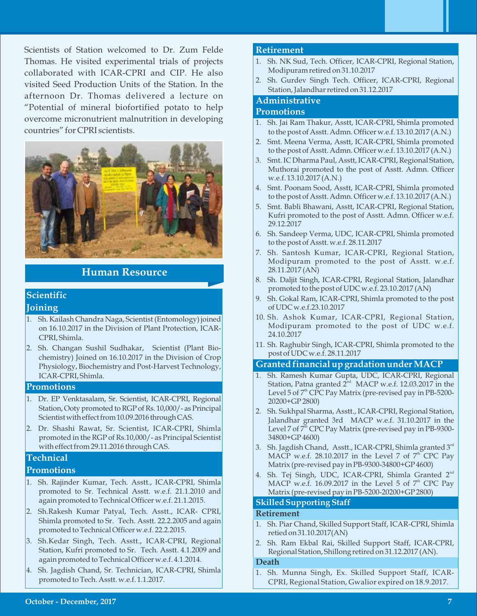Scientists of Station welcomed to Dr. Zum Felde Thomas. He visited experimental trials of projects collaborated with ICAR-CPRI and CIP. He also visited Seed Production Units of the Station. In the afternoon Dr. Thomas delivered a lecture on "Potential of mineral biofortified potato to help overcome micronutrient malnutrition in developing countries" for CPRI scientists.



## **Human Resource**

# **Scientific**

#### **Joining**

- 1. Sh. Kailash Chandra Naga, Scientist (Entomology) joined on 16.10.2017 in the Division of Plant Protection, ICAR-CPRI, Shimla.
- 2. Sh. Changan Sushil Sudhakar, Scientist (Plant Biochemistry) Joined on 16.10.2017 in the Division of Crop Physiology, Biochemistry and Post-Harvest Technology, ICAR-CPRI, Shimla.

#### **Promotions**

- 1. Dr. EP Venktasalam, Sr. Scientist, ICAR-CPRI, Regional Station, Ooty promoted to RGP of Rs. 10,000/- as Principal Scientist with effect from 10.09.2016 through CAS.
- 2. Dr. Shashi Rawat, Sr. Scientist, ICAR-CPRI, Shimla promoted in the RGP of Rs.10,000/- as Principal Scientist with effect from 29.11.2016 through CAS.

## **Technical**

#### **Promotions**

- 1. Sh. Rajinder Kumar, Tech. Asstt., ICAR-CPRI, Shimla promoted to Sr. Technical Asstt. w.e.f. 21.1.2010 and again promoted to Technical Officer w.e.f. 21.1.2015.
- 2. Sh.Rakesh Kumar Patyal, Tech. Asstt., ICAR- CPRI, Shimla promoted to Sr. Tech. Asstt. 22.2.2005 and again promoted to Technical Officer w.e.f. 22.2.2015.
- 3. Sh.Kedar Singh, Tech. Asstt., ICAR-CPRI, Regional Station, Kufri promoted to Sr. Tech. Asstt. 4.1.2009 and again promoted to Technical Officer w.e.f. 4.1.2014.
- 4. Sh. Jagdish Chand, Sr. Technician, ICAR-CPRI, Shimla promoted to Tech. Asstt. w.e.f. 1.1.2017.

#### **Retirement**

- 1. Sh. NK Sud, Tech. Officer, ICAR-CPRI, Regional Station, Modipuram retired on 31.10.2017
- 2. Sh. Gurdev Singh Tech. Officer, ICAR-CPRI, Regional Station, Jalandhar retired on 31.12.2017

#### **Administrative**

#### **Promotions**

- 1. Sh. Jai Ram Thakur, Asstt, ICAR-CPRI, Shimla promoted to the post of Asstt. Admn. Officer w.e.f. 13.10.2017 (A.N.)
- 2. Smt. Meena Verma, Asstt, ICAR-CPRI, Shimla promoted to the post of Asstt. Admn. Officer w.e.f. 13.10.2017 (A.N.)
- 3. Smt. IC Dharma Paul, Asstt, ICAR-CPRI, Regional Station, Muthorai promoted to the post of Asstt. Admn. Officer w.e.f. 13.10.2017 (A.N.)
- 4. Smt. Poonam Sood, Asstt, ICAR-CPRI, Shimla promoted to the post of Asstt. Admn. Officer w.e.f. 13.10.2017 (A.N.)
- 5. Smt. Babli Bhawani, Asstt, ICAR-CPRI, Regional Station, Kufri promoted to the post of Asstt. Admn. Officer w.e.f. 29.12.2017
- 6. Sh. Sandeep Verma, UDC, ICAR-CPRI, Shimla promoted to the post of Asstt. w.e.f. 28.11.2017
- 7. Sh. Santosh Kumar, ICAR-CPRI, Regional Station, Modipuram promoted to the post of Asstt. w.e.f. 28.11.2017 (AN)
- 8. Sh. Daljit Singh, ICAR-CPRI, Regional Station, Jalandhar promoted to the post of UDC w.e.f. 23.10.2017 (AN)
- 9. Sh. Gokal Ram, ICAR-CPRI, Shimla promoted to the post of UDC w.e.f.23.10.2017
- 10. Sh. Ashok Kumar, ICAR-CPRI, Regional Station, Modipuram promoted to the post of UDC w.e.f. 24.10.2017
- 11. Sh. Raghubir Singh, ICAR-CPRI, Shimla promoted to the post of UDC w.e.f. 28.11.2017

#### **Granted financial up gradation under MACP**

- 1. Sh. Ramesh Kumar Gupta, UDC, ICAR-CPRI, Regional Station, Patna granted  $2<sup>nd</sup>$  MACP w.e.f. 12.03.2017 in the Level 5 of 7<sup>th</sup> CPC Pay Matrix (pre-revised pay in PB-5200-20200+GP 2800)
- 2. Sh. Sukhpal Sharma, Asstt., ICAR-CPRI, Regional Station, Jalandhar granted 3rd MACP w.e.f. 31.10.2017 in the Level 7 of  $7<sup>th</sup>$  CPC Pay Matrix (pre-revised pay in PB-9300-34800+GP 4600)
- 3. Sh. Jagdish Chand, Asstt., ICAR-CPRI, Shimla granted  $3<sup>rd</sup>$ MACP w.e.f. 28.10.2017 in the Level 7 of  $7<sup>th</sup>$  CPC Pay Matrix (pre-revised pay in PB-9300-34800+GP 4600)
- 4. Sh. Tej Singh, UDC, ICAR-CPRI, Shimla Granted 2<sup>nd</sup> MACP w.e.f. 16.09.2017 in the Level 5 of  $7<sup>th</sup>$  CPC Pay Matrix (pre-revised pay in PB-5200-20200+GP 2800)

#### **Skilled Supporting Staff**

#### **Retirement**

- 1. Sh. Piar Chand, Skilled Support Staff, ICAR-CPRI, Shimla retied on 31.10.2017(AN)
- 2. Sh. Ram Ekbal Rai, Skilled Support Staff, ICAR-CPRI, Regional Station, Shillong retired on 31.12.2017 (AN).

#### **Death**

1. Sh. Munna Singh, Ex. Skilled Support Staff, ICAR-CPRI, Regional Station, Gwalior expired on 18.9.2017.